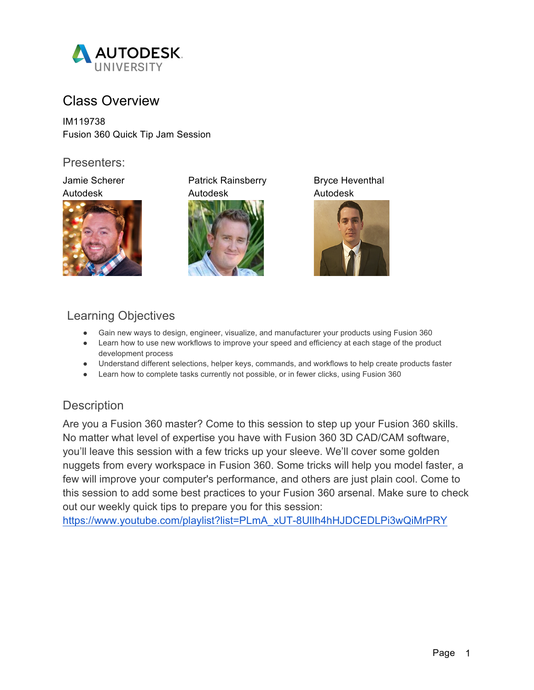

# Class Overview

IM119738 Fusion 360 Quick Tip Jam Session

### Presenters:



Jamie Scherer **Patrick Rainsberry** Bryce Heventhal Autodesk Autodesk Autodesk





# Learning Objectives

- Gain new ways to design, engineer, visualize, and manufacturer your products using Fusion 360
- Learn how to use new workflows to improve your speed and efficiency at each stage of the product development process
- Understand different selections, helper keys, commands, and workflows to help create products faster
- Learn how to complete tasks currently not possible, or in fewer clicks, using Fusion 360

## **Description**

Are you a Fusion 360 master? Come to this session to step up your Fusion 360 skills. No matter what level of expertise you have with Fusion 360 3D CAD/CAM software, you'll leave this session with a few tricks up your sleeve. We'll cover some golden nuggets from every workspace in Fusion 360. Some tricks will help you model faster, a few will improve your computer's performance, and others are just plain cool. Come to this session to add some best practices to your Fusion 360 arsenal. Make sure to check out our weekly quick tips to prepare you for this session:

https://www.youtube.com/playlist?list=PLmA\_xUT-8UlIh4hHJDCEDLPi3wQiMrPRY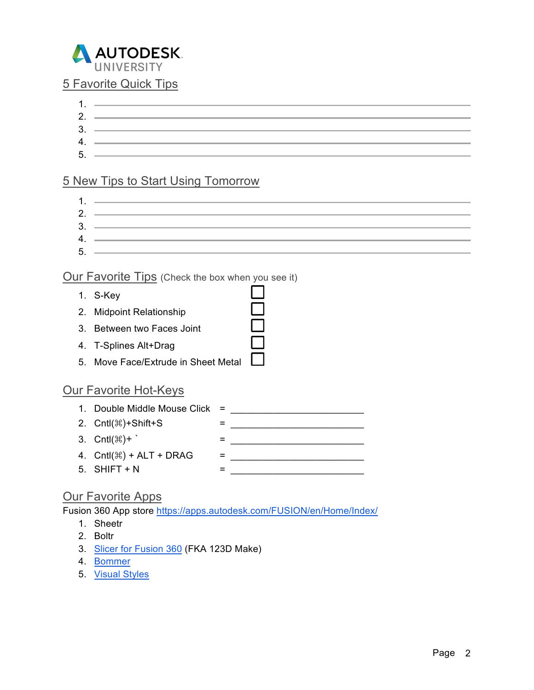

### 5 Favorite Quick Tips

1. 2.  $3.$   $\frac{1}{2}$   $\frac{1}{2}$   $\frac{1}{2}$   $\frac{1}{2}$   $\frac{1}{2}$   $\frac{1}{2}$   $\frac{1}{2}$   $\frac{1}{2}$   $\frac{1}{2}$   $\frac{1}{2}$   $\frac{1}{2}$   $\frac{1}{2}$   $\frac{1}{2}$   $\frac{1}{2}$   $\frac{1}{2}$   $\frac{1}{2}$   $\frac{1}{2}$   $\frac{1}{2}$   $\frac{1}{2}$   $\frac{1}{2}$   $\frac{1}{2}$   $\frac{1}{$ 4. 5.

## 5 New Tips to Start Using Tomorrow

1. 2. 3. 4. 5.

88<br>89

### Our Favorite Tips (Check the box when you see it)

- 1. S-Key
- 2. Midpoint Relationship
- 3. Between two Faces Joint
- 4. T-Splines Alt+Drag
- 5. Move Face/Extrude in Sheet Metal

### Our Favorite Hot-Keys

| 2. Cntl( $\mathcal{H}$ )+Shift+S          |                                  |
|-------------------------------------------|----------------------------------|
| 3. $\text{Cntl}(\mathbb{H})$ +            |                                  |
| 4. $\text{Crit}(\mathbb{H})$ + ALT + DRAG |                                  |
| $5.$ SHIFT + N                            |                                  |
|                                           | 1. Double Middle Mouse Click $=$ |

### Our Favorite Apps

Fusion 360 App store https://apps.autodesk.com/FUSION/en/Home/Index/

- 1. Sheetr
- 2. Boltr
- 3. Slicer for Fusion 360 (FKA 123D Make)
- 4. Bommer
- 5. Visual Styles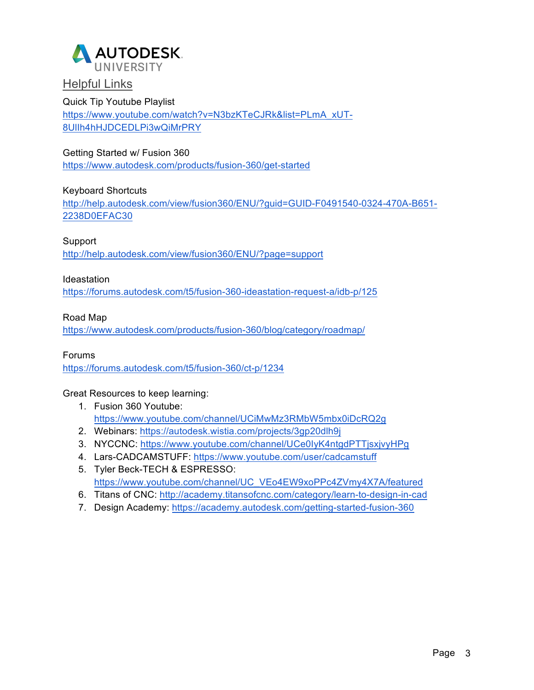

### **Helpful Links**

#### Quick Tip Youtube Playlist https://www.youtube.com/watch?v=N3bzKTeCJRk&list=PLmA\_xUT-8UlIh4hHJDCEDLPi3wQiMrPRY

#### Getting Started w/ Fusion 360

https://www.autodesk.com/products/fusion-360/get-started

#### Keyboard Shortcuts

http://help.autodesk.com/view/fusion360/ENU/?guid=GUID-F0491540-0324-470A-B651- 2238D0EFAC30

#### Support

http://help.autodesk.com/view/fusion360/ENU/?page=support

#### Ideastation

https://forums.autodesk.com/t5/fusion-360-ideastation-request-a/idb-p/125

#### Road Map

https://www.autodesk.com/products/fusion-360/blog/category/roadmap/

#### Forums

https://forums.autodesk.com/t5/fusion-360/ct-p/1234

Great Resources to keep learning:

- 1. Fusion 360 Youtube: https://www.youtube.com/channel/UCiMwMz3RMbW5mbx0iDcRQ2g
- 2. Webinars: https://autodesk.wistia.com/projects/3gp20dlh9j
- 3. NYCCNC: https://www.youtube.com/channel/UCe0IyK4ntgdPTTjsxjvyHPg
- 4. Lars-CADCAMSTUFF: https://www.youtube.com/user/cadcamstuff
- 5. Tyler Beck-TECH & ESPRESSO: https://www.youtube.com/channel/UC\_VEo4EW9xoPPc4ZVmy4X7A/featured
- 6. Titans of CNC: http://academy.titansofcnc.com/category/learn-to-design-in-cad
- 7. Design Academy: https://academy.autodesk.com/getting-started-fusion-360